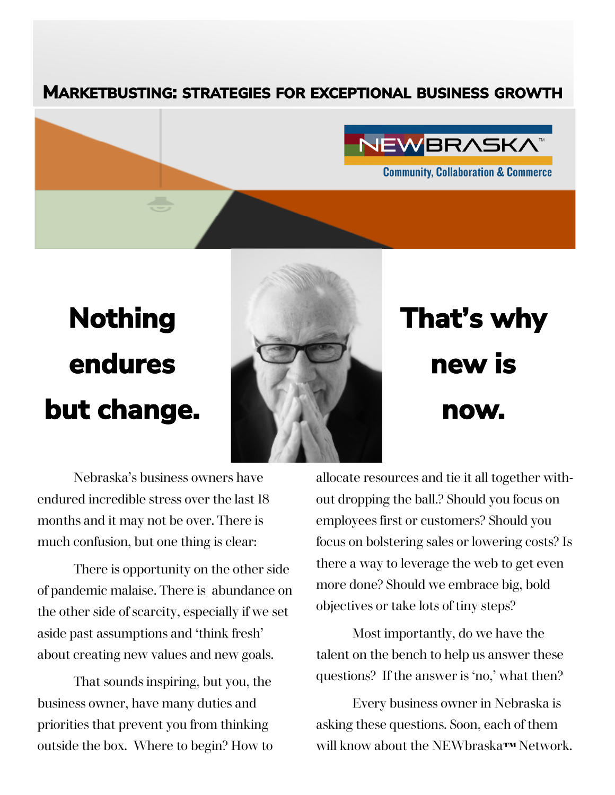#### **MARKETBUSTING: STRATEGIES FOR EXCEPTIONAL BUSINESS GROWTH**



# **Nothing endures but change.**



## **That's why new is now.**

Nebraska's business owners have endured incredible stress over the last 18 months and it may not be over. There is much confusion, but one thing is clear:

There is opportunity on the other side of pandemic malaise. There is abundance on the other side of scarcity, especially if we set aside past assumptions and 'think fresh' about creating new values and new goals.

That sounds inspiring, but you, the business owner, have many duties and priorities that prevent you from thinking outside the box. Where to begin? How to allocate resources and tie it all together without dropping the ball.? Should you focus on employees first or customers? Should you focus on bolstering sales or lowering costs? Is there a way to leverage the web to get even more done? Should we embrace big, bold objectives or take lots of tiny steps?

Most importantly, do we have the talent on the bench to help us answer these questions? If the answer is 'no,' what then?

Every business owner in Nebraska is asking these questions. Soon, each of them will know about the NEWbraska**™** Network.